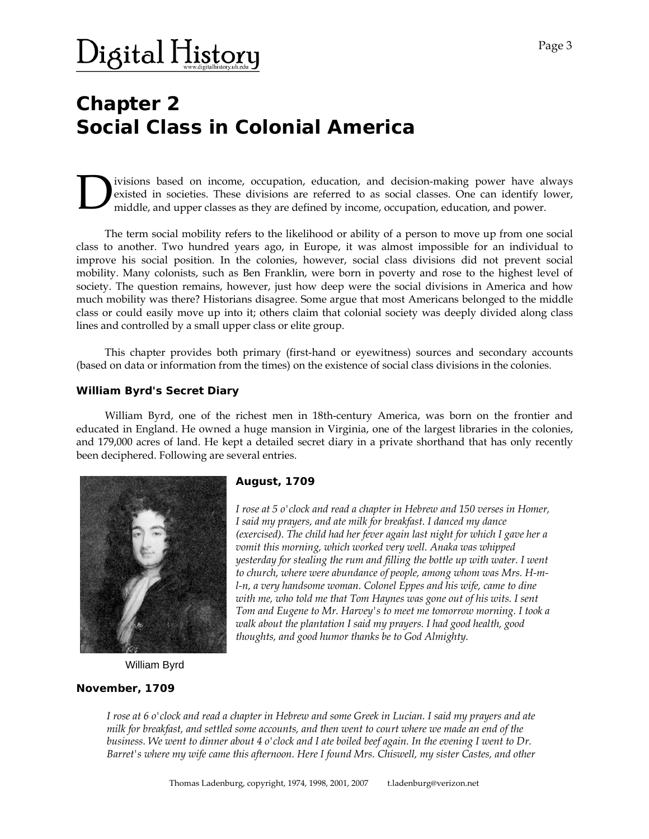### Digital H<u>istor</u>y

### **Chapter 2 Social Class in Colonial America**

ivisions based on income, occupation, education, and decision-making power have always existed in societies. These divisions are referred to as social classes. One can identify lower, middle, and upper classes as they are defined by income, occupation, education, and power.

 The term social mobility refers to the likelihood or ability of a person to move up from one social class to another. Two hundred years ago, in Europe, it was almost impossible for an individual to improve his social position. In the colonies, however, social class divisions did not prevent social mobility. Many colonists, such as Ben Franklin, were born in poverty and rose to the highest level of society. The question remains, however, just how deep were the social divisions in America and how much mobility was there? Historians disagree. Some argue that most Americans belonged to the middle class or could easily move up into it; others claim that colonial society was deeply divided along class lines and controlled by a small upper class or elite group.

 This chapter provides both primary (first-hand or eyewitness) sources and secondary accounts (based on data or information from the times) on the existence of social class divisions in the colonies.

#### **William Byrd's Secret Diary**

 William Byrd, one of the richest men in 18th-century America, was born on the frontier and educated in England. He owned a huge mansion in Virginia, one of the largest libraries in the colonies, and 179,000 acres of land. He kept a detailed secret diary in a private shorthand that has only recently been deciphered. Following are several entries.



#### *August, 1709*

*I rose at 5 o'clock and read a chapter in Hebrew and 150 verses in Homer, I said my prayers, and ate milk for breakfast. I danced my dance (exercised). The child had her fever again last night for which I gave her a vomit this morning, which worked very well. Anaka was whipped yesterday for stealing the rum and filling the bottle up with water. I went to church, where were abundance of people, among whom was Mrs. H-ml-n, a very handsome woman. Colonel Eppes and his wife, came to dine with me, who told me that Tom Haynes was gone out of his wits. I sent Tom and Eugene to Mr. Harvey's to meet me tomorrow morning. I took a walk about the plantation I said my prayers. I had good health, good thoughts, and good humor thanks be to God Almighty.* 

William Byrd

#### *November, 1709*

*I rose at 6 o'clock and read a chapter in Hebrew and some Greek in Lucian. I said my prayers and ate milk for breakfast, and settled some accounts, and then went to court where we made an end of the business. We went to dinner about 4 o'clock and I ate boiled beef again. In the evening I went to Dr. Barret's where my wife came this afternoon. Here I found Mrs. Chiswell, my sister Castes, and other*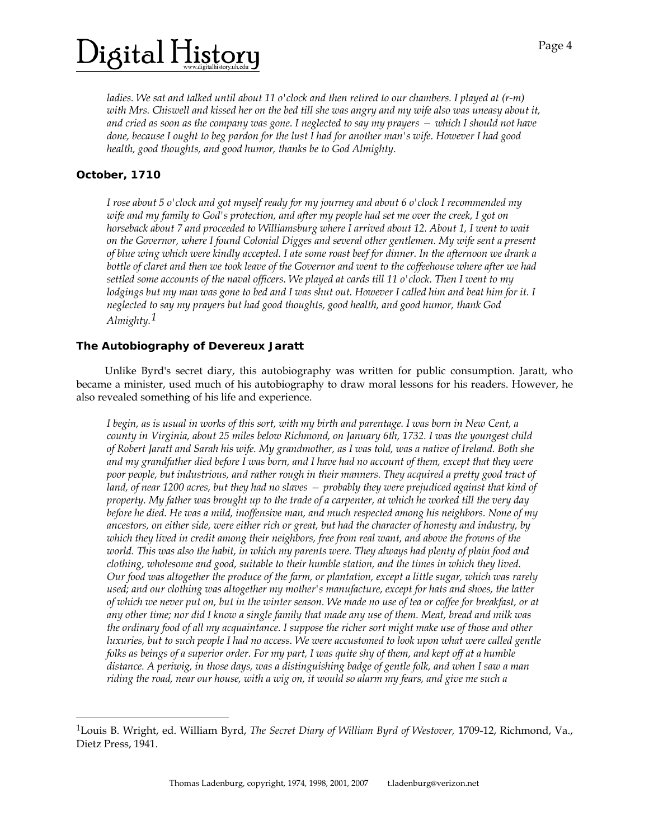# igital History)

*ladies. We sat and talked until about 11 o'clock and then retired to our chambers. I played at (r-m) with Mrs. Chiswell and kissed her on the bed till she was angry and my wife also was uneasy about it, and cried as soon as the company was gone. I neglected to say my prayers — which I should not have done, because I ought to beg pardon for the lust I had for another man's wife. However I had good health, good thoughts, and good humor, thanks be to God Almighty.*

### *October, 1710*

l

*I rose about 5 o'clock and got myself ready for my journey and about 6 o'clock I recommended my wife and my family to God's protection, and after my people had set me over the creek, I got on horseback about 7 and proceeded to Williamsburg where I arrived about 12. About 1, I went to wait on the Governor, where I found Colonial Digges and several other gentlemen. My wife sent a present of blue wing which were kindly accepted. I ate some roast beef for dinner. In the afternoon we drank a bottle of claret and then we took leave of the Governor and went to the coffeehouse where after we had settled some accounts of the naval officers. We played at cards till 11 o'clock. Then I went to my lodgings but my man was gone to bed and I was shut out. However I called him and beat him for it. I neglected to say my prayers but had good thoughts, good health, and good humor, thank God Almighty.[1](#page-1-0)*

#### **The Autobiography of Devereux Jaratt**

 Unlike Byrd's secret diary, this autobiography was written for public consumption. Jaratt, who became a minister, used much of his autobiography to draw moral lessons for his readers. However, he also revealed something of his life and experience.

*I begin, as is usual in works of this sort, with my birth and parentage. I was born in New Cent, a county in Virginia, about 25 miles below Richmond, on January 6th, 1732. I was the youngest child of Robert Jaratt and Sarah his wife. My grandmother, as I was told, was a native of Ireland. Both she and my grandfather died before I was born, and I have had no account of them, except that they were poor people, but industrious, and rather rough in their manners. They acquired a pretty good tract of land, of near 1200 acres, but they had no slaves — probably they were prejudiced against that kind of property. My father was brought up to the trade of a carpenter, at which he worked till the very day before he died. He was a mild, inoffensive man, and much respected among his neighbors. None of my ancestors, on either side, were either rich or great, but had the character of honesty and industry, by which they lived in credit among their neighbors, free from real want, and above the frowns of the world. This was also the habit, in which my parents were. They always had plenty of plain food and clothing, wholesome and good, suitable to their humble station, and the times in which they lived. Our food was altogether the produce of the farm, or plantation, except a little sugar, which was rarely used; and our clothing was altogether my mother's manufacture, except for hats and shoes, the latter of which we never put on, but in the winter season. We made no use of tea or coffee for breakfast, or at any other time; nor did I know a single family that made any use of them. Meat, bread and milk was the ordinary food of all my acquaintance. I suppose the richer sort might make use of those and other luxuries, but to such people I had no access. We were accustomed to look upon what were called gentle folks as beings of a superior order. For my part, I was quite shy of them, and kept off at a humble distance. A periwig, in those days, was a distinguishing badge of gentle folk, and when I saw a man riding the road, near our house, with a wig on, it would so alarm my fears, and give me such a* 

<span id="page-1-0"></span><sup>1</sup>Louis B. Wright, ed. William Byrd, *The Secret Diary of William Byrd of Westover,* 1709-12, Richmond, Va., Dietz Press, 1941.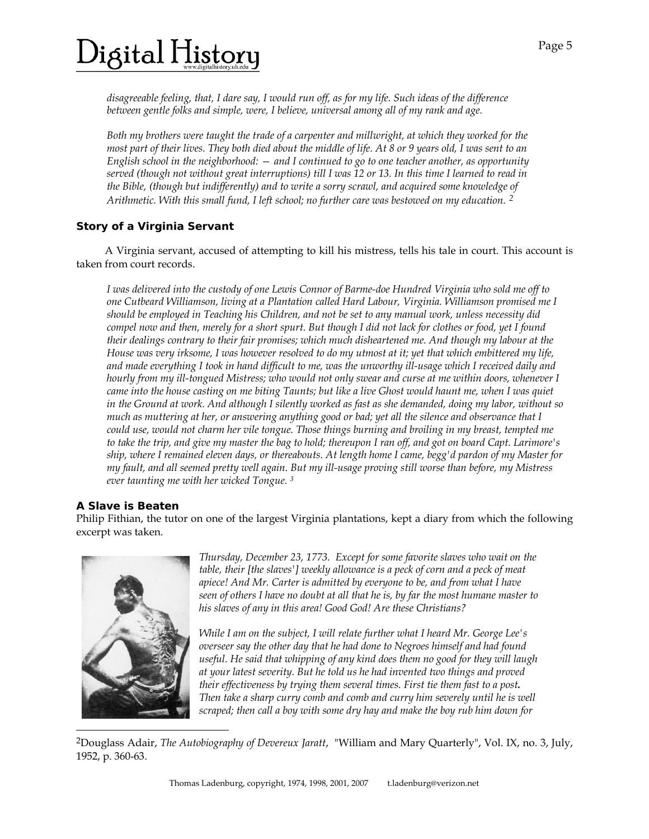# igital History)

*disagreeable feeling, that, I dare say, I would run off, as for my life. Such ideas of the difference between gentle folks and simple, were, I believe, universal among all of my rank and age.* 

*Both my brothers were taught the trade of a carpenter and millwright, at which they worked for the most part of their lives. They both died about the middle of life. At 8 or 9 years old, I was sent to an English school in the neighborhood: — and I continued to go to one teacher another, as opportunity served (though not without great interruptions) till I was 12 or 13. In this time I learned to read in the Bible, (though but indifferently) and to write a sorry scrawl, and acquired some knowledge of Arithmetic. With this small fund, I left school; no further care was bestowed on my education. [2](#page-2-0)*

### **Story of a Virginia Servant**

 A Virginia servant, accused of attempting to kill his mistress, tells his tale in court. This account is taken from court records.

*I was delivered into the custody of one Lewis Connor of Barme-doe Hundred Virginia who sold me off to one Cutbeard Williamson, living at a Plantation called Hard Labour, Virginia. Williamson promised me I should be employed in Teaching his Children, and not be set to any manual work, unless necessity did compel now and then, merely for a short spurt. But though I did not lack for clothes or food, yet I found their dealings contrary to their fair promises; which much disheartened me. And though my labour at the House was very irksome, I was however resolved to do my utmost at it; yet that which embittered my life, and made everything I took in hand difficult to me, was the unworthy ill-usage which I received daily and hourly from my ill-tongued Mistress; who would not only swear and curse at me within doors, whenever I came into the house casting on me biting Taunts; but like a live Ghost would haunt me, when I was quiet in the Ground at work. And although I silently worked as fast as she demanded, doing my labor, without so much as muttering at her, or answering anything good or bad; yet all the silence and observance that I could use, would not charm her vile tongue. Those things burning and broiling in my breast, tempted me to take the trip, and give my master the bag to hold; thereupon I ran off, and got on board Capt. Larimore's ship, where I remained eleven days, or thereabouts. At length home I came, begg'd pardon of my Master for my fault, and all seemed pretty well again. But my ill-usage proving still worse than before, my Mistress ever taunting me with her wicked Tongue. 3*

#### **A Slave is Beaten**

Philip Fithian, the tutor on one of the largest Virginia plantations, kept a diary from which the following excerpt was taken.



l

*Thursday, December 23, 1773. Except for some favorite slaves who wait on the table, their [the slaves'] weekly allowance is a peck of corn and a peck of meat apiece! And Mr. Carter is admitted by everyone to be, and from what I have seen of others I have no doubt at all that he is, by far the most humane master to his slaves of any in this area! Good God! Are these Christians?* 

*While I am on the subject, I will relate further what I heard Mr. George Lee's overseer say the other day that he had done to Negroes himself and had found useful. He said that whipping of any kind does them no good for they will laugh at your latest severity. But he told us he had invented two things and proved their effectiveness by trying them several times. First tie them fast to a post. Then take a sharp curry comb and comb and curry him severely until he is well scraped; then call a boy with some dry hay and make the boy rub him down for* 

<span id="page-2-0"></span>2Douglass Adair, *The Autobiography of Devereux Jaratt*, "William and Mary Quarterly", Vol. IX, no. 3, July, 1952, p. 360-63.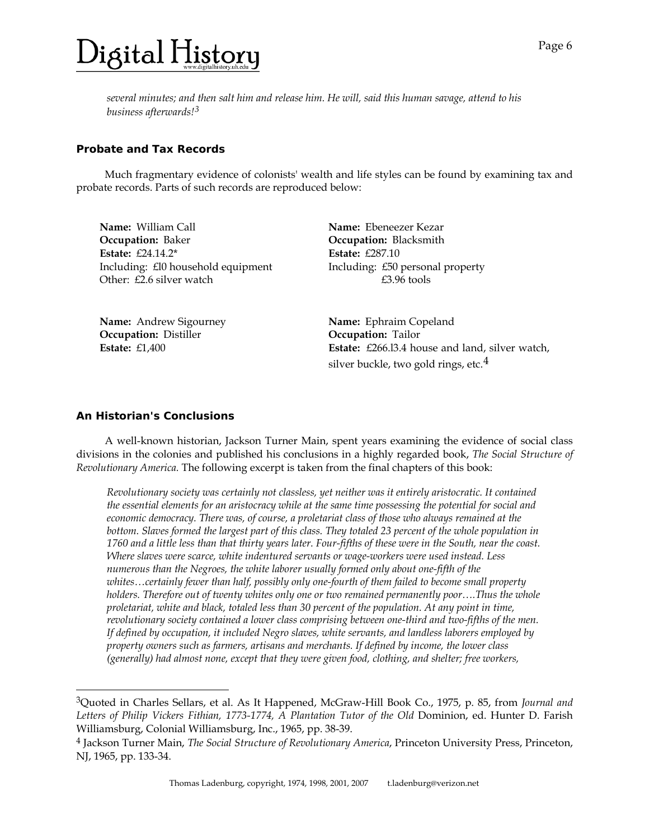*several minutes; and then salt him and release him. He will, said this human savage, attend to his business afterwards![3](#page-3-0)*

#### **Probate and Tax Records**

 Much fragmentary evidence of colonists' wealth and life styles can be found by examining tax and probate records. Parts of such records are reproduced below:

| <b>Name:</b> William Call          | <b>Name:</b> Ebeneezer Kezar     |
|------------------------------------|----------------------------------|
| <b>Occupation: Baker</b>           | Occupation: Blacksmith           |
| Estate: $£24.14.2*$                | Estate: $£287.10$                |
| Including: £10 household equipment | Including: £50 personal property |
| Other: £2.6 silver watch           | $£3.96$ tools                    |
|                                    |                                  |
|                                    |                                  |

**Occupation:** Distiller **Occupation:** Tailor **Estate:** £1,400

**Name:** Andrew Sigourney **Name:** Ephraim Copeland **Estate:** £266.l3.4 house and land, silver watch, silver buckle, two gold rings, etc. $4$ 

#### **An Historian's Conclusions**

-

 A well-known historian, Jackson Turner Main, spent years examining the evidence of social class divisions in the colonies and published his conclusions in a highly regarded book, *The Social Structure of Revolutionary America.* The following excerpt is taken from the final chapters of this book:

*Revolutionary society was certainly not classless, yet neither was it entirely aristocratic. It contained the essential elements for an aristocracy while at the same time possessing the potential for social and economic democracy. There was, of course, a proletariat class of those who always remained at the*  bottom. Slaves formed the largest part of this class. They totaled 23 percent of the whole population in *1760 and a little less than that thirty years later. Four-fifths of these were in the South, near the coast. Where slaves were scarce, white indentured servants or wage-workers were used instead. Less numerous than the Negroes, the white laborer usually formed only about one-fifth of the whites…certainly fewer than half, possibly only one-fourth of them failed to become small property holders. Therefore out of twenty whites only one or two remained permanently poor….Thus the whole proletariat, white and black, totaled less than 30 percent of the population. At any point in time, revolutionary society contained a lower class comprising between one-third and two-fifths of the men. If defined by occupation, it included Negro slaves, white servants, and landless laborers employed by property owners such as farmers, artisans and merchants. If defined by income, the lower class (generally) had almost none, except that they were given food, clothing, and shelter; free workers,* 

<span id="page-3-0"></span><sup>3</sup>Quoted in Charles Sellars, et al. As It Happened, McGraw-Hill Book Co., 1975, p. 85, from *Journal and*  Letters of Philip Vickers Fithian, 1773-1774, A Plantation Tutor of the Old Dominion, ed. Hunter D. Farish Williamsburg, Colonial Williamsburg, Inc., 1965, pp. 38-39.

<span id="page-3-1"></span><sup>4</sup> Jackson Turner Main, *The Social Structure of Revolutionary America*, Princeton University Press, Princeton, NJ, 1965, pp. 133-34.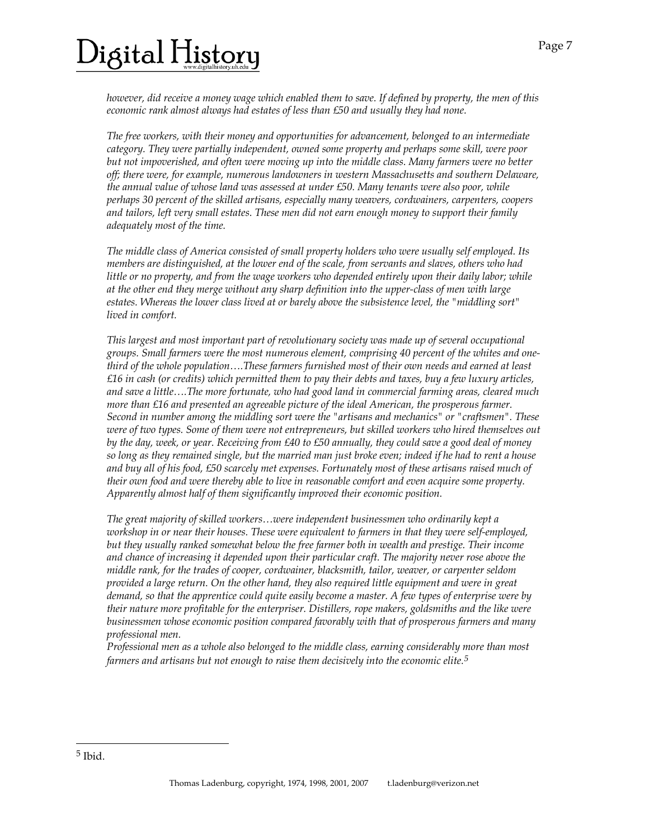# 'igital History

*however, did receive a money wage which enabled them to save. If defined by property, the men of this economic rank almost always had estates of less than £50 and usually they had none.* 

*The free workers, with their money and opportunities for advancement, belonged to an intermediate category. They were partially independent, owned some property and perhaps some skill, were poor but not impoverished, and often were moving up into the middle class. Many farmers were no better off; there were, for example, numerous landowners in western Massachusetts and southern Delaware, the annual value of whose land was assessed at under £50. Many tenants were also poor, while perhaps 30 percent of the skilled artisans, especially many weavers, cordwainers, carpenters, coopers and tailors, left very small estates. These men did not earn enough money to support their family adequately most of the time.* 

*The middle class of America consisted of small property holders who were usually self employed. Its members are distinguished, at the lower end of the scale, from servants and slaves, others who had little or no property, and from the wage workers who depended entirely upon their daily labor; while at the other end they merge without any sharp definition into the upper-class of men with large estates. Whereas the lower class lived at or barely above the subsistence level, the "middling sort" lived in comfort.* 

*This largest and most important part of revolutionary society was made up of several occupational groups. Small farmers were the most numerous element, comprising 40 percent of the whites and onethird of the whole population….These farmers furnished most of their own needs and earned at least £16 in cash (or credits) which permitted them to pay their debts and taxes, buy a few luxury articles, and save a little….The more fortunate, who had good land in commercial farming areas, cleared much more than £16 and presented an agreeable picture of the ideal American, the prosperous farmer. Second in number among the middling sort were the "artisans and mechanics" or "craftsmen". These were of two types. Some of them were not entrepreneurs, but skilled workers who hired themselves out by the day, week, or year. Receiving from £40 to £50 annually, they could save a good deal of money so long as they remained single, but the married man just broke even; indeed if he had to rent a house and buy all of his food, £50 scarcely met expenses. Fortunately most of these artisans raised much of their own food and were thereby able to live in reasonable comfort and even acquire some property. Apparently almost half of them significantly improved their economic position.* 

*The great majority of skilled workers…were independent businessmen who ordinarily kept a workshop in or near their houses. These were equivalent to farmers in that they were self-employed, but they usually ranked somewhat below the free farmer both in wealth and prestige. Their income and chance of increasing it depended upon their particular craft. The majority never rose above the middle rank, for the trades of cooper, cordwainer, blacksmith, tailor, weaver, or carpenter seldom provided a large return. On the other hand, they also required little equipment and were in great demand, so that the apprentice could quite easily become a master. A few types of enterprise were by their nature more profitable for the enterpriser. Distillers, rope makers, goldsmiths and the like were businessmen whose economic position compared favorably with that of prosperous farmers and many professional men.* 

*Professional men as a whole also belonged to the middle class, earning considerably more than most farmers and artisans but not enough to raise them decisively into the economic elite.[5](#page-4-0)*

l

<span id="page-4-0"></span><sup>5</sup> Ibid.